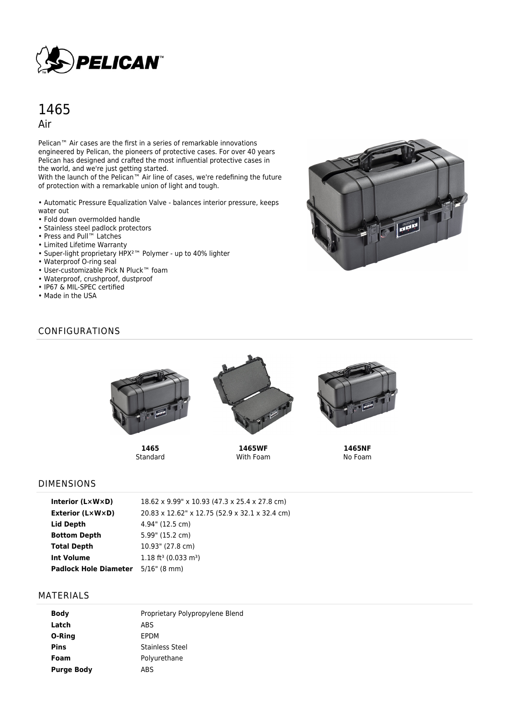

# 1465 Air

Pelican<sup>™</sup> Air cases are the first in a series of remarkable innovations engineered by Pelican, the pioneers of protective cases. For over 40 years Pelican has designed and crafted the most influential protective cases in the world, and we're just getting started.

With the launch of the Pelican™ Air line of cases, we're redefining the future of protection with a remarkable union of light and tough.

• Automatic Pressure Equalization Valve - balances interior pressure, keeps water out

- Fold down overmolded handle
- Stainless steel padlock protectors
- Press and Pull™ Latches
- Limited Lifetime Warranty
- Super-light proprietary HPX²™ Polymer up to 40% lighter
- Waterproof O-ring seal
- User-customizable Pick N Pluck™ foam
- Waterproof, crushproof, dustproof
- IP67 & MIL-SPEC certified
- Made in the USA



# CONFIGURATIONS



**1465 Standard** 



**1465WF** With Foam



**1465NF** No Foam

#### DIMENSIONS

| Interior $(L \times W \times D)$ | 18.62 x 9.99" x 10.93 (47.3 x 25.4 x 27.8 cm)  |
|----------------------------------|------------------------------------------------|
| Exterior (L×W×D)                 | 20.83 x 12.62" x 12.75 (52.9 x 32.1 x 32.4 cm) |
| Lid Depth                        | 4.94" (12.5 cm)                                |
| <b>Bottom Depth</b>              | 5.99" (15.2 cm)                                |
| <b>Total Depth</b>               | 10.93" (27.8 cm)                               |
| <b>Int Volume</b>                | $1.18$ ft <sup>3</sup> (0.033 m <sup>3</sup> ) |
| <b>Padlock Hole Diameter</b>     | $5/16$ " (8 mm)                                |

#### MATERIALS

| <b>Body</b>       | Proprietary Polypropylene Blend |
|-------------------|---------------------------------|
| Latch             | <b>ABS</b>                      |
| O-Ring            | <b>FPDM</b>                     |
| <b>Pins</b>       | Stainless Steel                 |
| Foam              | Polyurethane                    |
| <b>Purge Body</b> | ABS                             |